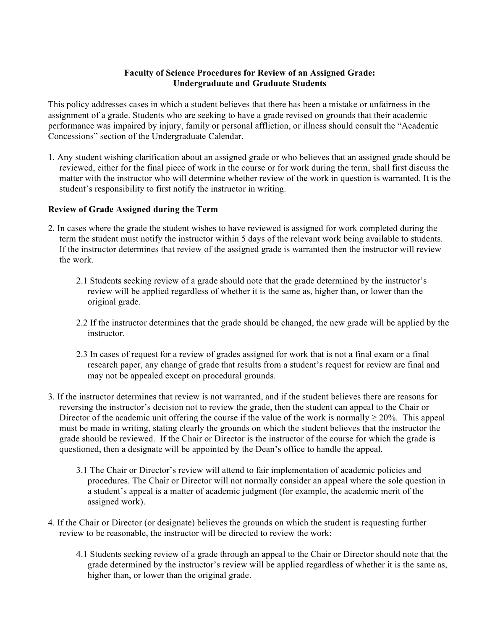## **Faculty of Science Procedures for Review of an Assigned Grade: Undergraduate and Graduate Students**

This policy addresses cases in which a student believes that there has been a mistake or unfairness in the assignment of a grade. Students who are seeking to have a grade revised on grounds that their academic performance was impaired by injury, family or personal affliction, or illness should consult the "Academic Concessions" section of the Undergraduate Calendar.

1. Any student wishing clarification about an assigned grade or who believes that an assigned grade should be reviewed, either for the final piece of work in the course or for work during the term, shall first discuss the matter with the instructor who will determine whether review of the work in question is warranted. It is the student's responsibility to first notify the instructor in writing.

## **Review of Grade Assigned during the Term**

- 2. In cases where the grade the student wishes to have reviewed is assigned for work completed during the term the student must notify the instructor within 5 days of the relevant work being available to students. If the instructor determines that review of the assigned grade is warranted then the instructor will review the work.
	- 2.1 Students seeking review of a grade should note that the grade determined by the instructor's review will be applied regardless of whether it is the same as, higher than, or lower than the original grade.
	- 2.2 If the instructor determines that the grade should be changed, the new grade will be applied by the instructor.
	- 2.3 In cases of request for a review of grades assigned for work that is not a final exam or a final research paper, any change of grade that results from a student's request for review are final and may not be appealed except on procedural grounds.
- 3. If the instructor determines that review is not warranted, and if the student believes there are reasons for reversing the instructor's decision not to review the grade, then the student can appeal to the Chair or Director of the academic unit offering the course if the value of the work is normally  $\geq 20\%$ . This appeal must be made in writing, stating clearly the grounds on which the student believes that the instructor the grade should be reviewed. If the Chair or Director is the instructor of the course for which the grade is questioned, then a designate will be appointed by the Dean's office to handle the appeal.
	- 3.1 The Chair or Director's review will attend to fair implementation of academic policies and procedures. The Chair or Director will not normally consider an appeal where the sole question in a student's appeal is a matter of academic judgment (for example, the academic merit of the assigned work).
- 4. If the Chair or Director (or designate) believes the grounds on which the student is requesting further review to be reasonable, the instructor will be directed to review the work:
	- 4.1 Students seeking review of a grade through an appeal to the Chair or Director should note that the grade determined by the instructor's review will be applied regardless of whether it is the same as, higher than, or lower than the original grade.